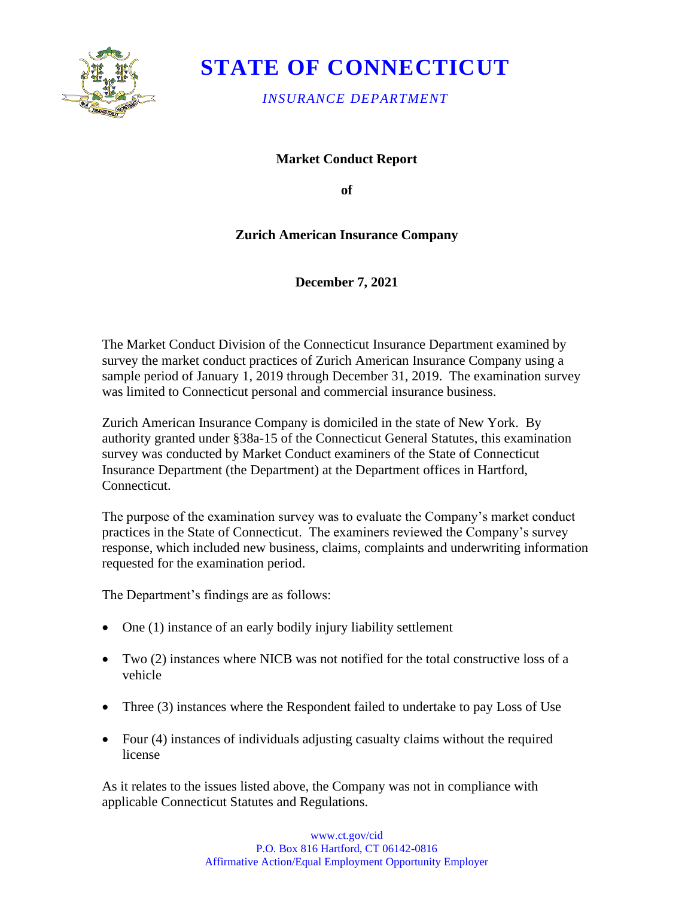

# **STATE OF CONNECTICUT**

*INSURANCE DEPARTMENT* 

**Market Conduct Report** 

**of** 

## **Zurich American Insurance Company**

**December 7, 2021** 

The Market Conduct Division of the Connecticut Insurance Department examined by survey the market conduct practices of Zurich American Insurance Company using a sample period of January 1, 2019 through December 31, 2019. The examination survey was limited to Connecticut personal and commercial insurance business.

Zurich American Insurance Company is domiciled in the state of New York. By authority granted under §38a-15 of the Connecticut General Statutes, this examination survey was conducted by Market Conduct examiners of the State of Connecticut Insurance Department (the Department) at the Department offices in Hartford, Connecticut.

The purpose of the examination survey was to evaluate the Company's market conduct practices in the State of Connecticut. The examiners reviewed the Company's survey response, which included new business, claims, complaints and underwriting information requested for the examination period.

The Department's findings are as follows:

- One (1) instance of an early bodily injury liability settlement
- Two (2) instances where NICB was not notified for the total constructive loss of a vehicle
- Three (3) instances where the Respondent failed to undertake to pay Loss of Use
- license • Four (4) instances of individuals adjusting casualty claims without the required

As it relates to the issues listed above, the Company was not in compliance with applicable Connecticut Statutes and Regulations.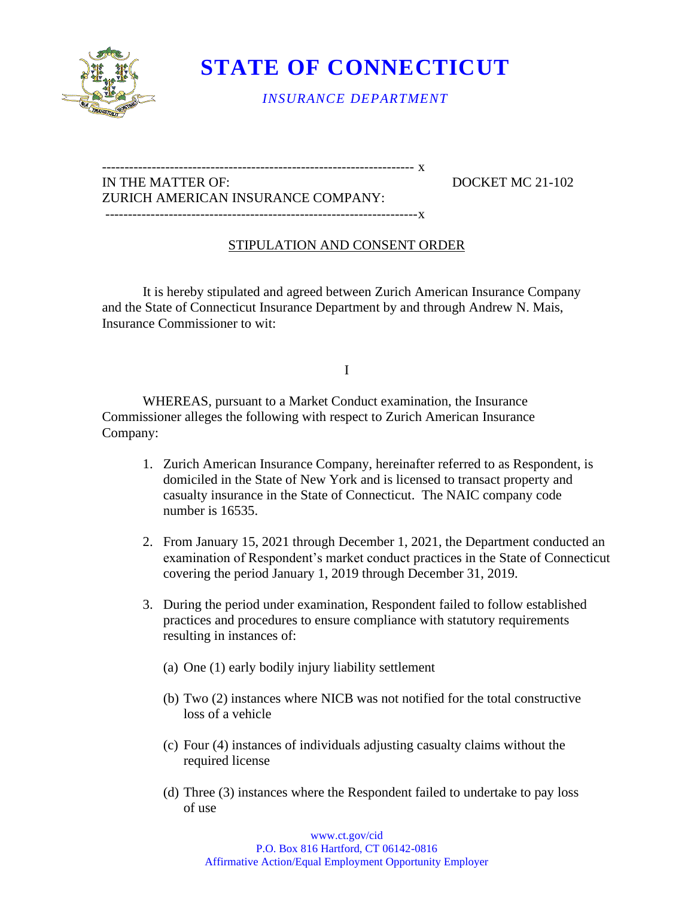

 **STATE OF CONNECTICUT** 

*INSURANCE DEPARTMENT* 

### IN THE MATTER OF: DOCKET MC 21-102 ZURICH AMERICAN INSURANCE COMPANY: ---------------------------------------------------------------------x

--------------------------------------------------------------------- x

## STIPULATION AND CONSENT ORDER

It is hereby stipulated and agreed between Zurich American Insurance Company and the State of Connecticut Insurance Department by and through Andrew N. Mais, Insurance Commissioner to wit:

#### I

WHEREAS, pursuant to a Market Conduct examination, the Insurance Commissioner alleges the following with respect to Zurich American Insurance Company:

- 1. Zurich American Insurance Company, hereinafter referred to as Respondent, is domiciled in the State of New York and is licensed to transact property and casualty insurance in the State of Connecticut. The NAIC company code number is 16535.
- 2. From January 15, 2021 through December 1, 2021, the Department conducted an examination of Respondent's market conduct practices in the State of Connecticut covering the period January 1, 2019 through December 31, 2019.
- 3. During the period under examination, Respondent failed to follow established practices and procedures to ensure compliance with statutory requirements resulting in instances of:
	- (a) One (1) early bodily injury liability settlement
	- (b) Two (2) instances where NICB was not notified for the total constructive loss of a vehicle
	- (c) Four (4) instances of individuals adjusting casualty claims without the required license
	- (d) Three (3) instances where the Respondent failed to undertake to pay loss of use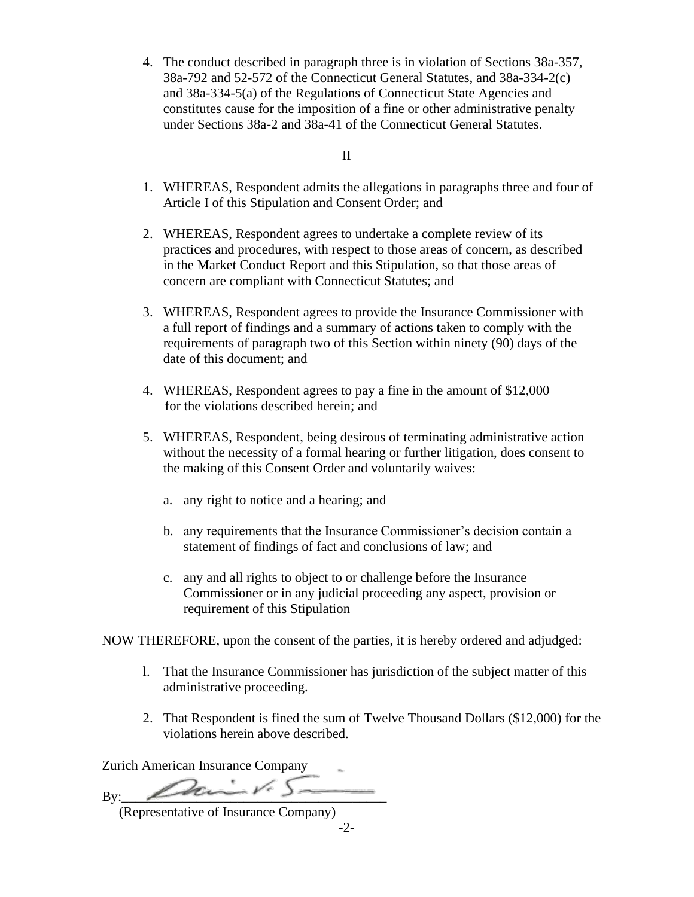4. The conduct described in paragraph three is in violation of Sections 38a-357, 38a-792 and 52-572 of the Connecticut General Statutes, and 38a-334-2(c) and 38a-334-5(a) of the Regulations of Connecticut State Agencies and constitutes cause for the imposition of a fine or other administrative penalty under Sections 38a-2 and 38a-41 of the Connecticut General Statutes.

II

- 1. WHEREAS, Respondent admits the allegations in paragraphs three and four of Article I of this Stipulation and Consent Order; and
- 2. WHEREAS, Respondent agrees to undertake a complete review of its practices and procedures, with respect to those areas of concern, as described in the Market Conduct Report and this Stipulation, so that those areas of concern are compliant with Connecticut Statutes; and
- 3. WHEREAS, Respondent agrees to provide the Insurance Commissioner with a full report of findings and a summary of actions taken to comply with the requirements of paragraph two of this Section within ninety (90) days of the date of this document; and
- 4. WHEREAS, Respondent agrees to pay a fine in the amount of \$12,000 for the violations described herein; and
- 5. WHEREAS, Respondent, being desirous of terminating administrative action without the necessity of a formal hearing or further litigation, does consent to the making of this Consent Order and voluntarily waives:
	- a. any right to notice and a hearing; and
	- b. any requirements that the Insurance Commissioner's decision contain a statement of findings of fact and conclusions of law; and
	- c. any and all rights to object to or challenge before the Insurance Commissioner or in any judicial proceeding any aspect, provision or requirement of this Stipulation

NOW THEREFORE, upon the consent of the parties, it is hereby ordered and adjudged:

- l. That the Insurance Commissioner has jurisdiction of the subject matter of this administrative proceeding.
- 2. That Respondent is fined the sum of Twelve Thousand Dollars (\$12,000) for the violations herein above described.

Zurich American Insurance Company

By:  $\sqrt{2c}$ 

(Representative of Insurance Company)